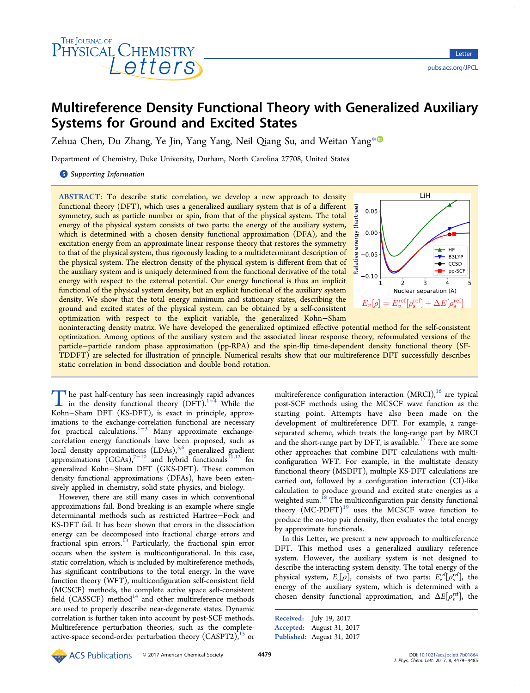

# Multireference Density Functional Theory with Generalized Auxiliary Systems for Ground and Excited States

Zehua Chen, Du Zhang, Ye Jin, Yang Yang, Neil Qiang Su, and Weitao Yang<sup>[\\*](#page-5-0)</sup>

Department of Chemistry, Duke University, Durham, North Carolina 27708, United States

S [Supporting Information](#page-4-0)

ABSTRACT: To describe static correlation, we develop a new approach to density functional theory (DFT), which uses a generalized auxiliary system that is of a different symmetry, such as particle number or spin, from that of the physical system. The total energy of the physical system consists of two parts: the energy of the auxiliary system, which is determined with a chosen density functional approximation (DFA), and the excitation energy from an approximate linear response theory that restores the symmetry to that of the physical system, thus rigorously leading to a multideterminant description of the physical system. The electron density of the physical system is different from that of the auxiliary system and is uniquely determined from the functional derivative of the total energy with respect to the external potential. Our energy functional is thus an implicit functional of the physical system density, but an explicit functional of the auxiliary system density. We show that the total energy minimum and stationary states, describing the ground and excited states of the physical system, can be obtained by a self-consistent optimization with respect to the explicit variable, the generalized Kohn−Sham



noninteracting density matrix. We have developed the generalized optimized effective potential method for the self-consistent optimization. Among options of the auxiliary system and the associated linear response theory, reformulated versions of the particle−particle random phase approximation (pp-RPA) and the spin-flip time-dependent density functional theory (SF-TDDFT) are selected for illustration of principle. Numerical results show that our multireference DFT successfully describes static correlation in bond dissociation and double bond rotation.

The past half-century has seen increasingly [r](#page-5-0)a[p](#page-5-0)id advances<br>in the density functional theory (DFT).<sup>1−4</sup> While the<br>Kohn–Sham DET (KS DET) is exact in principle approx Kohn−Sham DFT (KS-DFT), is exact in principle, approximations to the exchange-correlation functional are necessary for practical calculations.<sup>[1](#page-5-0)–[3](#page-5-0)</sup> Many approximate exchangecorrelation energy functionals have been proposed, such as local density approximations (LDAs),<sup>[5,6](#page-5-0)</sup> generalized gradient approximations  $(GGAs)$ ,<sup>[7](#page-5-0)-[10](#page-5-0)</sup> and hybrid functionals<sup>[11,12](#page-5-0)</sup> for generalized Kohn−Sham DFT (GKS-DFT). These common density functional approximations (DFAs), have been extensively applied in chemistry, solid state physics, and biology.

However, there are still many cases in which conventional approximations fail. Bond breaking is an example where single determinantal methods such as restricted Hartree−Fock and KS-DFT fail. It has been shown that errors in the dissociation energy can be decomposed into fractional charge errors and fractional spin errors.<sup>[13](#page-5-0)</sup> Particularly, the fractional spin error occurs when the system is multiconfigurational. In this case, static correlation, which is included by multireference methods, has significant contributions to the total energy. In the wave function theory (WFT), multiconfiguration self-consistent field (MCSCF) methods, the complete active space self-consistent field  $(CASSCF)$  method $14$  and other multireference methods are used to properly describe near-degenerate states. Dynamic correlation is further taken into account by post-SCF methods. Multireference perturbation theories, such as the completeactive-space second-order perturbation theory  $(CASPT2)$ ,<sup>[15](#page-5-0)</sup> or

multireference configuration interaction  $(MRCI)$ ,<sup>[16](#page-5-0)</sup> are typical post-SCF methods using the MCSCF wave function as the starting point. Attempts have also been made on the development of multireference DFT. For example, a rangeseparated scheme, which treats the long-range part by MRCI and the short-range part by DFT, is available.<sup>[17](#page-5-0)</sup> There are some other approaches that combine DFT calculations with multiconfiguration WFT. For example, in the multistate density functional theory (MSDFT), multiple KS-DFT calculations are carried out, followed by a configuration interaction (CI)-like calculation to produce ground and excited state energies as a weighted sum.<sup>18</sup> The multiconfiguration pair density functional theory  $(MC-PDFT)^{19}$  $(MC-PDFT)^{19}$  $(MC-PDFT)^{19}$  uses the MCSCF wave function to produce the on-top pair density, then evaluates the total energy by approximate functionals.

In this Letter, we present a new approach to multireference DFT. This method uses a generalized auxiliary reference system. However, the auxiliary system is not designed to describe the interacting system density. The total energy of the physical system,  $E_v[\rho]$ , consists of two parts:  $E_v^{\text{ref}}[\rho_{\text{s}}^{\text{ref}}]$ , the energy of the auxiliary system, which is determined with a chosen density functional approximation, and  $\Delta E[\rho_{\rm s}^{\rm ref}]$ , the

Received: July 19, 2017 Accepted: August 31, 2017 Published: August 31, 2017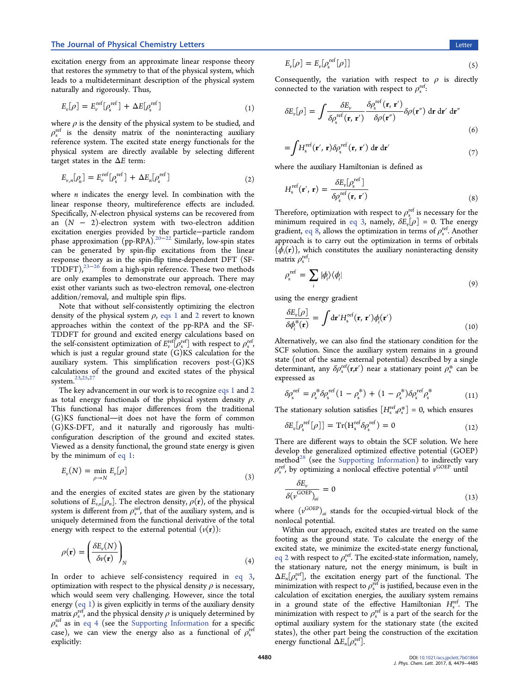excitation energy from an approximate linear response theory that restores the symmetry to that of the physical system, which leads to a multideterminant description of the physical system naturally and rigorously. Thus,

$$
E_{\nu}[\rho] = E_{\nu}^{\text{ref}}[\rho_{s}^{\text{ref}}] + \Delta E[\rho_{s}^{\text{ref}}]
$$
\n(1)

where  $\rho$  is the density of the physical system to be studied, and  $\rho_{\rm s}^{\rm ref}$  is the density matrix of the noninteracting auxiliary reference system. The excited state energy functionals for the physical system are directly available by selecting different target states in the  $\Delta E$  term:

$$
E_{\nu,n}[\rho_n] = E_{\nu}^{\text{ref}}[\rho_s^{\text{ref}}] + \Delta E_n[\rho_s^{\text{ref}}]
$$
\n(2)

where  $n$  indicates the energy level. In combination with the linear response theory, multireference effects are included. Specifically, N-electron physical systems can be recovered from an  $(N - 2)$ -electron system with two-electron addition excitation energies provided by the particle−particle random phase approximation (pp-RPA).<sup>[20](#page-5-0)−[22](#page-5-0)</sup> Similarly, low-spin states can be generated by spin-flip excitations from the linear response theory as in the spin-flip time-dependent DFT (SF- $T\text{DDFT}$ ),<sup>[23](#page-5-0)–[26](#page-5-0)</sup> from a high-spin reference. These two methods are only examples to demonstrate our approach. There may exist other variants such as two-electron removal, one-electron addition/removal, and multiple spin flips.

Note that without self-consistently optimizing the electron density of the physical system  $\rho$ , eqs 1 and 2 revert to known approaches within the context of the pp-RPA and the SF-TDDFT for ground and excited energy calculations based on the self-consistent optimization of  $E_v^{\text{ref}}[\rho_s^{\text{ref}}]$  with respect to  $\rho_s^{\text{ref}},$ which is just a regular ground state  $(G)KS$  calculation for the auxiliary system. This simplification recovers  $post(G)KS$ calculations of the ground and excited states of the physical system.<sup>23,25,2</sup>

The key advancement in our work is to recognize eqs 1 and 2 as total energy functionals of the physical system density  $\rho$ . This functional has major differences from the traditional  $(G)$ KS functional—it does not have the form of common (G)KS-DFT, and it naturally and rigorously has multiconfiguration description of the ground and excited states. Viewed as a density functional, the ground state energy is given by the minimum of eq 1:

$$
E_{\nu}(N) = \min_{\rho \to N} E_{\nu}[\rho]
$$
\n(3)

and the energies of excited states are given by the stationary solutions of  $\bar{E}_{v,n}[\rho_n]$ . The electron density,  $\rho(\mathbf{r})$ , of the physical system is different from  $\rho_s^{\text{ref}}$ , that of the auxiliary system, and is uniquely determined from the functional derivative of the total energy with respect to the external potential  $(v(\mathbf{r}))$ :

$$
\rho(\mathbf{r}) = \left(\frac{\delta E_{\nu}(N)}{\delta \nu(\mathbf{r})}\right)_{N} \tag{4}
$$

In order to achieve self-consistency required in eq 3, optimization with respect to the physical density  $\rho$  is necessary, which would seem very challenging. However, since the total energy (eq 1) is given explicitly in terms of the auxiliary density matrix  $\rho_{\rm s}^{\rm ref}$ , and the physical density  $\rho$  is uniquely determined by  $\rho_s^{\rm ref}$  as in eq 4 (see the [Supporting Information](http://pubs.acs.org/doi/suppl/10.1021/acs.jpclett.7b01864/suppl_file/jz7b01864_si_001.pdf) for a specific case), we can view the energy also as a functional of  $\rho_s^{\text{ref}}$ explicitly:

$$
E_{\nu}[\rho] = E_{\nu}[\rho_{\rm s}^{\rm ref}[\rho]] \tag{5}
$$

Consequently, the variation with respect to  $\rho$  is directly connected to the variation with respect to  $\rho_s^{\text{ref}}$ :

$$
\delta E_{\nu}[\rho] = \int \frac{\delta E_{\nu}}{\delta \rho_{s}^{\text{ref}}(\mathbf{r}, \mathbf{r}') } \frac{\delta \rho_{s}^{\text{ref}}(\mathbf{r}, \mathbf{r}')}{\delta \rho(\mathbf{r}'')} \delta \rho(\mathbf{r}'') \, d\mathbf{r} \, d\mathbf{r}' \, d\mathbf{r}''
$$
\n(6)

$$
=\int H_{\rm s}^{\rm ref}(\mathbf{r}',\,\mathbf{r})\delta\rho_{\rm s}^{\rm ref}(\mathbf{r},\,\mathbf{r}')\,\mathrm{d}\mathbf{r}\,\mathrm{d}\mathbf{r}'\tag{7}
$$

where the auxiliary Hamiltonian is defined as

$$
H_{\rm s}^{\rm ref}(\mathbf{r}',\mathbf{r}) = \frac{\delta E_{\nu}[\rho_{\rm s}^{\rm ref}]}{\delta \rho_{\rm s}^{\rm ref}(\mathbf{r},\mathbf{r}')} \tag{8}
$$

Therefore, optimization with respect to  $\rho_s^{\text{ref}}$  is necessary for the minimum required in eq 3, namely,  $\delta E_v[\rho] = 0$ . The energy gradient, eq 8, allows the optimization in terms of  $\rho_{\rm s}^{\rm ref}$ . Another approach is to carry out the optimization in terms of orbitals  $\{\phi_i(\mathbf{r})\}\$ , which constitutes the auxiliary noninteracting density matrix  $\rho_s^{\text{ref}}$ :

$$
\rho_{s}^{\text{ref}} = \sum_{i} |\phi_{i}\rangle\langle\phi_{i}| \tag{9}
$$

using the energy gradient

$$
\frac{\delta E_{\nu}[\rho]}{\delta \phi_i^* (\mathbf{r})} = \int d\mathbf{r}' H_s^{\text{ref}} (\mathbf{r}, \mathbf{r}') \phi_i(\mathbf{r}')
$$
\n(10)

Alternatively, we can also find the stationary condition for the SCF solution. Since the auxiliary system remains in a ground state (not of the same external potential) described by a single determinant, any  $\delta \rho_s^{\text{ref}}(\mathbf{r}, \mathbf{r}')$  near a stationary point  $\rho_s^*$  can be expressed as

$$
\delta \rho_s^{\text{ref}} = \rho_s^* \delta \rho_s^{\text{ref}} (1 - \rho_s^*) + (1 - \rho_s^*) \delta \rho_s^{\text{ref}} \rho_s^* \tag{11}
$$

The stationary solution satisfies  $[H_s^{\text{ref}}, \rho_s^*] = 0$ , which ensures

$$
\delta E_{\nu}[\rho_{\rm s}^{\rm ref}[\rho]] = \text{Tr}(\mathbf{H}_{\rm s}^{\rm ref} \delta \rho_{\rm s}^{\rm ref}) = 0 \tag{12}
$$

There are different ways to obtain the SCF solution. We here develop the generalized optimized effective potential (GOEP) method<sup>[28](#page-5-0)</sup> (see the [Supporting Information\)](http://pubs.acs.org/doi/suppl/10.1021/acs.jpclett.7b01864/suppl_file/jz7b01864_si_001.pdf) to indirectly vary  $\rho_s^{\text{ref}}$ , by optimizing a nonlocal effective potential  $v^{\text{GOEP}}$  until

$$
\frac{\delta E_{\nu}}{\delta(\nu^{\text{GOEP}})_{ai}} = 0
$$
\n(13)

where  $(v^{\text{GOEP}})_{ai}$  stands for the occupied-virtual block of the nonlocal potential.

Within our approach, excited states are treated on the same footing as the ground state. To calculate the energy of the excited state, we minimize the excited-state energy functional, eq 2 with respect to  $\rho_s^{\text{ref}}$ . The excited-state information, namely, the stationary nature, not the energy minimum, is built in  $\Delta E_n[\rho_{s}^{\text{ref}}]$ , the excitation energy part of the functional. The minimization with respect to  $\rho_s^{\text{ref}}$  is justified, because even in the calculation of excitation energies, the auxiliary system remains in a ground state of the effective Hamiltonian  $H_s^{\text{ref}}$ . The minimization with respect to  $\rho_s^{\text{ref}}$  is a part of the search for the optimal auxiliary system for the stationary state (the excited states), the other part being the construction of the excitation energy functional  $\Delta E_n[\rho_s^{\text{ref}}]$ .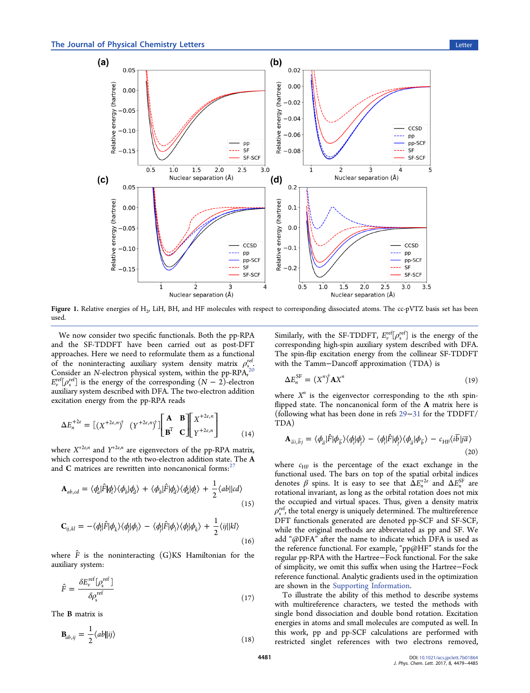<span id="page-2-0"></span>

Figure 1. Relative energies of H<sub>2</sub>, LiH, BH, and HF molecules with respect to corresponding dissociated atoms. The cc-pVTZ basis set has been used.

We now consider two specific functionals. Both the pp-RPA and the SF-TDDFT have been carried out as post-DFT approaches. Here we need to reformulate them as a functional of the noninteracting auxiliary system density matrix  $\rho_{s,a}^{\text{ref}}$ Consider an N-electron physical system, within the pp-RPA,<sup>[20](#page-5-0)</sup><br>reft reft.  $E_v^{\text{ref}}[\rho_s^{\text{ref}}]$  is the energy of the corresponding  $(N-2)$ -electron auxiliary system described with DFA. The two-electron addition excitation energy from the pp-RPA reads

$$
\Delta E_n^{+2e} = \left[ \left( X^{+2e,n} \right)^{\dagger} \left( Y^{+2e,n} \right)^{\dagger} \right] \begin{bmatrix} \mathbf{A} & \mathbf{B} \\ \mathbf{B}^{\mathrm{T}} & \mathbf{C} \end{bmatrix} \begin{bmatrix} X^{+2e,n} \\ Y^{+2e,n} \end{bmatrix} \tag{14}
$$

where  $X^{+2e,n}$  and  $Y^{+2e,n}$  are eigenvectors of the pp-RPA matrix, which correspond to the nth two-electron addition state. The A and C matrices are rewritten into noncanonical forms: $<sup>2</sup>$ </sup>

$$
\mathbf{A}_{ab,cd} = \langle \phi_a^{\dagger} | \hat{F} | \phi_c^{\dagger} \rangle \langle \phi_b^{\dagger} | \phi_d^{\dagger} \rangle + \langle \phi_b^{\dagger} | \hat{F} | \phi_d^{\dagger} \rangle \langle \phi_a^{\dagger} | \phi_c^{\dagger} \rangle + \frac{1}{2} \langle ab \rangle \tag{15}
$$

$$
\mathbf{C}_{ij,kl} = -\langle \phi_i | \hat{F} | \phi_k \rangle \langle \phi_j | \phi_l \rangle - \langle \phi_j | \hat{F} | \phi_l \rangle \langle \phi_i | \phi_k \rangle + \frac{1}{2} \langle i j || kl \rangle
$$
\n(16)

where  $\hat{F}$  is the noninteracting (G)KS Hamiltonian for the auxiliary system:

$$
\hat{F} = \frac{\delta E_v^{\text{ref}}[\rho_s^{\text{ref}}]}{\delta \rho_s^{\text{ref}}}
$$
\n(17)

The B matrix is

$$
\mathbf{B}_{ab,ij} = \frac{1}{2} \langle ab||ij\rangle \tag{18}
$$

Similarly, with the SF-TDDFT,  $E_v^{\text{ref}}[\rho_s^{\text{ref}}]$  is the energy of the corresponding high-spin auxiliary system described with DFA. The spin-flip excitation energy from the collinear SF-TDDFT with the Tamm−Dancoff approximation (TDA) is

$$
\Delta E_n^{\rm SF} = (X^n)^{\dagger} \mathbf{A} X^n \tag{19}
$$

where  $X^n$  is the eigenvector corresponding to the *n*th spinflipped state. The noncanonical form of the A matrix here is (following what has been done in refs [29](#page-5-0)−[31](#page-5-0) for the TDDFT/ TDA)

$$
\mathbf{A}_{\pi i,\overline{b}j} = \langle \phi_{\overline{a}} | \hat{F} | \phi_{\overline{b}} \rangle \langle \phi_i | \phi_j \rangle - \langle \phi_i | \hat{F} | \phi_j \rangle \langle \phi_{\overline{a}} | \phi_{\overline{b}} \rangle - c_{\text{HF}} \langle i \overline{b} | j \overline{a} \rangle \tag{20}
$$

where  $c_{HF}$  is the percentage of the exact exchange in the functional used. The bars on top of the spatial orbital indices denotes  $\beta$  spins. It is easy to see that  $\overline{\Delta}E_n^{+2e}$  and  $\Delta E_n^{SF}$  are rotational invariant, as long as the orbital rotation does not mix the occupied and virtual spaces. Thus, given a density matrix  $\rho_{\rm s}^{\rm ref}$ , the total energy is uniquely determined. The multireference DFT functionals generated are denoted pp-SCF and SF-SCF, while the original methods are abbreviated as pp and SF. We add "@DFA" after the name to indicate which DFA is used as the reference functional. For example, "pp@HF" stands for the regular pp-RPA with the Hartree−Fock functional. For the sake of simplicity, we omit this suffix when using the Hartree−Fock reference functional. Analytic gradients used in the optimization are shown in the [Supporting Information.](http://pubs.acs.org/doi/suppl/10.1021/acs.jpclett.7b01864/suppl_file/jz7b01864_si_001.pdf)

To illustrate the ability of this method to describe systems with multireference characters, we tested the methods with single bond dissociation and double bond rotation. Excitation energies in atoms and small molecules are computed as well. In this work, pp and pp-SCF calculations are performed with restricted singlet references with two electrons removed,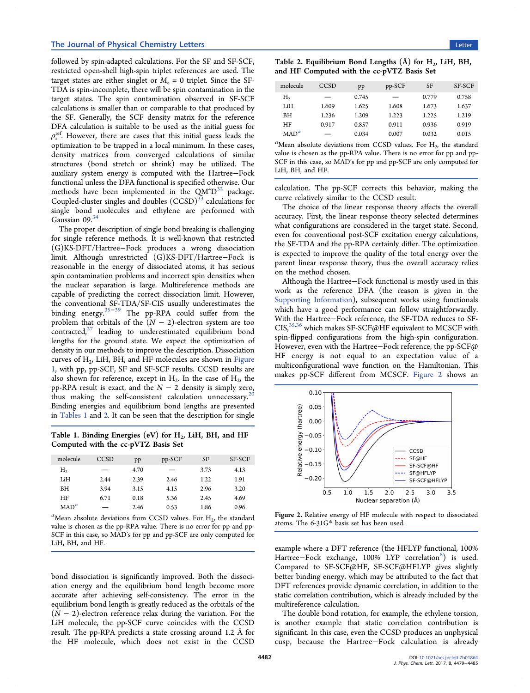followed by spin-adapted calculations. For the SF and SF-SCF, restricted open-shell high-spin triplet references are used. The target states are either singlet or  $M<sub>z</sub> = 0$  triplet. Since the SF-TDA is spin-incomplete, there will be spin contamination in the target states. The spin contamination observed in SF-SCF calculations is smaller than or comparable to that produced by the SF. Generally, the SCF density matrix for the reference DFA calculation is suitable to be used as the initial guess for  $\rho_s^{\text{ref}}$ . However, there are cases that this initial guess leads the optimization to be trapped in a local minimum. In these cases, density matrices from converged calculations of similar structures (bond stretch or shrink) may be utilized. The auxiliary system energy is computed with the Hartree−Fock functional unless the DFA functional is specified otherwise. Our methods have been implemented in the  $QM^4D^{32}$  $QM^4D^{32}$  $QM^4D^{32}$  package. Coupled-cluster singles and doubles (CCSD)<sup>[33](#page-5-0)</sup> calculations for single bond molecules and ethylene are performed with Gaussian 09.<sup>[34](#page-5-0)</sup>

The proper description of single bond breaking is challenging for single reference methods. It is well-known that restricted (G)KS-DFT/Hartree−Fock produces a wrong dissociation limit. Although unrestricted (G)KS-DFT/Hartree−Fock is reasonable in the energy of dissociated atoms, it has serious spin contamination problems and incorrect spin densities when the nuclear separation is large. Multireference methods are capable of predicting the correct dissociation limit. However, the conventional SF-TDA/SF-CIS usually underestimates the binding energy.[35](#page-5-0)−[39](#page-6-0) The pp-RPA could suffer from the problem that orbitals of the  $(N - 2)$ -electron system are too  $control, 27$  $control, 27$  leading to underestimated equilibrium bond lengths for the ground state. We expect the optimization of density in our methods to improve the description. Dissociation curves of  $H<sub>2</sub>$ , LiH, BH, and HF molecules are shown in [Figure](#page-2-0) [1](#page-2-0), with pp, pp-SCF, SF and SF-SCF results. CCSD results are also shown for reference, except in  $H_2$ . In the case of  $H_2$ , the pp-RPA result is exact, and the  $N - 2$  density is simply zero, thus making the self-consistent calculation unnecessary.<sup>[20](#page-5-0)</sup> Binding energies and equilibrium bond lengths are presented in Tables 1 and 2. It can be seen that the description for single

Table 1. Binding Energies (eV) for  $H<sub>2</sub>$ , LiH, BH, and HF Computed with the cc-pVTZ Basis Set

| molecule | CCSD | pp   | $pp-SCF$ | <b>SF</b> | SF-SCF |
|----------|------|------|----------|-----------|--------|
| Н,       |      | 4.70 |          | 3.73      | 4.13   |
| LiH      | 2.44 | 2.39 | 2.46     | 1.22      | 1.91   |
| BН       | 3.94 | 3.15 | 4.15     | 2.96      | 3.20   |
| HF       | 6.71 | 0.18 | 5.36     | 2.45      | 4.69   |
| $MAD^a$  |      | 2.46 | 0.53     | 1.86      | 0.96   |

 ${}^a$ Mean absolute deviations from CCSD values. For  $H_2$ , the standard value is chosen as the pp-RPA value. There is no error for pp and pp-SCF in this case, so MAD's for pp and pp-SCF are only computed for LiH, BH, and HF.

bond dissociation is significantly improved. Both the dissociation energy and the equilibrium bond length become more accurate after achieving self-consistency. The error in the equilibrium bond length is greatly reduced as the orbitals of the  $(N - 2)$ -electron reference relax during the variation. For the LiH molecule, the pp-SCF curve coincides with the CCSD result. The pp-RPA predicts a state crossing around 1.2 Å for the HF molecule, which does not exist in the CCSD

| Table 2. Equilibrium Bond Lengths $(A)$ for $H2$ , LiH, BH, |  |  |  |
|-------------------------------------------------------------|--|--|--|
| and HF Computed with the cc-pVTZ Basis Set                  |  |  |  |

| molecule | CCSD  | pp    | pp-SCF                   | SF    | SF-SCF |
|----------|-------|-------|--------------------------|-------|--------|
| Н,       |       | 0.745 | $\overline{\phantom{m}}$ | 0.779 | 0.758  |
| LiH      | 1.609 | 1.625 | 1.608                    | 1.673 | 1.637  |
| BН       | 1.236 | 1.209 | 1.223                    | 1.225 | 1.219  |
| HF       | 0.917 | 0.857 | 0.911                    | 0.936 | 0.919  |
| $MAD^a$  |       | 0.034 | 0.007                    | 0.032 | 0.015  |

<sup>a</sup>Mean absolute deviations from CCSD values. For  $H_2$ , the standard value is chosen as the pp-RPA value. There is no error for pp and pp-SCF in this case, so MAD's for pp and pp-SCF are only computed for LiH, BH, and HF.

calculation. The pp-SCF corrects this behavior, making the curve relatively similar to the CCSD result.

The choice of the linear response theory affects the overall accuracy. First, the linear response theory selected determines what configurations are considered in the target state. Second, even for conventional post-SCF excitation energy calculations, the SF-TDA and the pp-RPA certainly differ. The optimization is expected to improve the quality of the total energy over the parent linear response theory, thus the overall accuracy relies on the method chosen.

Although the Hartree−Fock functional is mostly used in this work as the reference DFA (the reason is given in the [Supporting Information](http://pubs.acs.org/doi/suppl/10.1021/acs.jpclett.7b01864/suppl_file/jz7b01864_si_001.pdf)), subsequent works using functionals which have a good performance can follow straightforwardly. With the Hartree−Fock reference, the SF-TDA reduces to SF-CIS,  $35,36$  $35,36$  $35,36$  which makes SF-SCF@HF equivalent to MCSCF with spin-flipped configurations from the high-spin configuration. However, even with the Hartree−Fock reference, the pp-SCF@ HF energy is not equal to an expectation value of a multiconfigurational wave function on the Hamiltonian. This makes pp-SCF different from MCSCF. Figure 2 shows an



Figure 2. Relative energy of HF molecule with respect to dissociated atoms. The 6-31G\* basis set has been used.

example where a DFT reference (the HFLYP functional, 100% Hartree-Fock exchange, 100% LYP correlation<sup>[8](#page-5-0)</sup>) is used. Compared to SF-SCF@HF, SF-SCF@HFLYP gives slightly better binding energy, which may be attributed to the fact that DFT references provide dynamic correlation, in addition to the static correlation contribution, which is already included by the multireference calculation.

The double bond rotation, for example, the ethylene torsion, is another example that static correlation contribution is significant. In this case, even the CCSD produces an unphysical cusp, because the Hartree−Fock calculation is already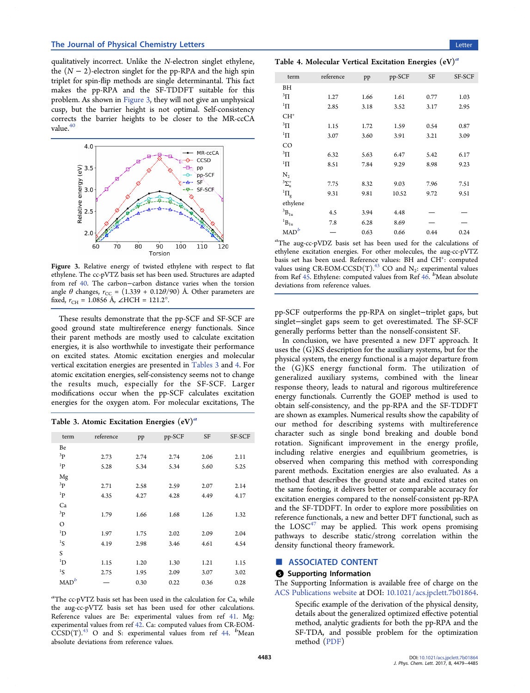<span id="page-4-0"></span>qualitatively incorrect. Unlike the N-electron singlet ethylene, the  $(N - 2)$ -electron singlet for the pp-RPA and the high spin triplet for spin-flip methods are single determinantal. This fact makes the pp-RPA and the SF-TDDFT suitable for this problem. As shown in Figure 3, they will not give an unphysical cusp, but the barrier height is not optimal. Self-consistency corrects the barrier heights to be closer to the MR-ccCA value.<sup>[40](#page-6-0)</sup>



Figure 3. Relative energy of twisted ethylene with respect to flat ethylene. The cc-pVTZ basis set has been used. Structures are adapted from ref [40.](#page-6-0) The carbon−carbon distance varies when the torsion angle  $\theta$  changes,  $r_{CC} = (1.339 + 0.12\theta/90)$  Å. Other parameters are fixed,  $r_{\text{CH}}$  = 1.0856 Å, ∠HCH = 121.2°.

These results demonstrate that the pp-SCF and SF-SCF are good ground state multireference energy functionals. Since their parent methods are mostly used to calculate excitation energies, it is also worthwhile to investigate their performance on excited states. Atomic excitation energies and molecular vertical excitation energies are presented in Tables 3 and 4. For atomic excitation energies, self-consistency seems not to change the results much, especially for the SF-SCF. Larger modifications occur when the pp-SCF calculates excitation energies for the oxygen atom. For molecular excitations, The

| Table 3. Atomic Excitation Energies $(eV)^a$ |  |  |  |  |  |  |
|----------------------------------------------|--|--|--|--|--|--|
|----------------------------------------------|--|--|--|--|--|--|

| term             | reference | pp   | pp-SCF | SF   | SF-SCF |
|------------------|-----------|------|--------|------|--------|
| Be               |           |      |        |      |        |
| 3p               | 2.73      | 2.74 | 2.74   | 2.06 | 2.11   |
| 1 <sub>p</sub>   | 5.28      | 5.34 | 5.34   | 5.60 | 5.25   |
| Mg               |           |      |        |      |        |
| ${}^{3}P$        | 2.71      | 2.58 | 2.59   | 2.07 | 2.14   |
| ${}^{1}P$        | 4.35      | 4.27 | 4.28   | 4.49 | 4.17   |
| Ca               |           |      |        |      |        |
| ${}^{3}P$        | 1.79      | 1.66 | 1.68   | 1.26 | 1.32   |
| $\circ$          |           |      |        |      |        |
| $\mathrm{^{1}D}$ | 1.97      | 1.75 | 2.02   | 2.09 | 2.04   |
| ${}^{1}S$        | 4.19      | 2.98 | 3.46   | 4.61 | 4.54   |
| S                |           |      |        |      |        |
| $\mathrm{^{1}D}$ | 1.15      | 1.20 | 1.30   | 1.21 | 1.15   |
| ${}^{1}S$        | 2.75      | 1.95 | 2.09   | 3.07 | 3.02   |
| $\mathrm{MAD}^b$ |           | 0.30 | 0.22   | 0.36 | 0.28   |

<sup>a</sup>The cc-pVTZ basis set has been used in the calculation for Ca, while the aug-cc-pVTZ basis set has been used for other calculations. Reference values are Be: experimental values from ref [41](#page-6-0). Mg: experimental values from ref [42](#page-6-0). Ca: computed values from CR-EOM- $CCSD(T)$ .<sup>[43](#page-6-0)</sup> O and S: experimental values from ref [44.](#page-6-0)  $b$ Mean absolute deviations from reference values.

Table 4. Molecular Vertical Excitation Energies  $(eV)^a$ 

| term                     | reference | pp   | pp-SCF | SF   | SF-SCF |
|--------------------------|-----------|------|--------|------|--------|
| BH                       |           |      |        |      |        |
| $\rm{^{3}\Pi}$           | 1.27      | 1.66 | 1.61   | 0.77 | 1.03   |
| $\rm ^1\Pi$              | 2.85      | 3.18 | 3.52   | 3.17 | 2.95   |
| $CH+$                    |           |      |        |      |        |
| $\rm{^{3}\Pi}$           | 1.15      | 1.72 | 1.59   | 0.54 | 0.87   |
| $\rm ^1\Pi$              | 3.07      | 3.60 | 3.91   | 3.21 | 3.09   |
| CO                       |           |      |        |      |        |
| $\rm{^{3}\Pi}$           | 6.32      | 5.63 | 6.47   | 5.42 | 6.17   |
| $\rm ^1\Pi$              | 8.51      | 7.84 | 9.29   | 8.98 | 9.23   |
| $N_{2}$                  |           |      |        |      |        |
| ${}^{3}\Sigma_{u}^{+}$   | 7.75      | 8.32 | 9.03   | 7.96 | 7.51   |
| ${}^{1}\Pi_{g}$          | 9.31      | 9.81 | 10.52  | 9.72 | 9.51   |
| ethylene                 |           |      |        |      |        |
| $^3\mbox{B}_{1\mbox{u}}$ | 4.5       | 3.94 | 4.48   |      |        |
| $^1\mbox{B}_{1\mbox{u}}$ | 7.8       | 6.28 | 8.69   |      |        |
| MAD <sup>b</sup>         |           | 0.63 | 0.66   | 0.44 | 0.24   |
|                          |           |      |        |      |        |

a The aug-cc-pVDZ basis set has been used for the calculations of ethylene excitation energies. For other molecules, the aug-cc-pVTZ basis set has been used. Reference values: BH and CH<sup>+</sup>: computed values using  $CR\text{-EOM-CCSD(T)}^{43}$  $CR\text{-EOM-CCSD(T)}^{43}$  $CR\text{-EOM-CCSD(T)}^{43}$  CO and  $N_2$ : experimental values from Ref [45.](#page-6-0) Ethylene: computed values from Ref  $46$ .  $\frac{b}{b}$  Mean absolute deviations from reference values.

pp-SCF outperforms the pp-RPA on singlet−triplet gaps, but singlet−singlet gaps seem to get overestimated. The SF-SCF generally performs better than the nonself-consistent SF.

In conclusion, we have presented a new DFT approach. It uses the (G)KS description for the auxiliary systems, but for the physical system, the energy functional is a major departure from the (G)KS energy functional form. The utilization of generalized auxiliary systems, combined with the linear response theory, leads to natural and rigorous multireference energy functionals. Currently the GOEP method is used to obtain self-consistency, and the pp-RPA and the SF-TDDFT are shown as examples. Numerical results show the capability of our method for describing systems with multireference character such as single bond breaking and double bond rotation. Significant improvement in the energy profile, including relative energies and equilibrium geometries, is observed when comparing this method with corresponding parent methods. Excitation energies are also evaluated. As a method that describes the ground state and excited states on the same footing, it delivers better or comparable accuracy for excitation energies compared to the nonself-consistent pp-RPA and the SF-TDDFT. In order to explore more possibilities on reference functionals, a new and better DFT functional, such as the  $LOGC^{47}$  $LOGC^{47}$  $LOGC^{47}$  may be applied. This work opens promising pathways to describe static/strong correlation within the density functional theory framework.

## ■ ASSOCIATED CONTENT

## **6** Supporting Information

The Supporting Information is available free of charge on the [ACS Publications website](http://pubs.acs.org) at DOI: [10.1021/acs.jpclett.7b01864.](http://pubs.acs.org/doi/abs/10.1021/acs.jpclett.7b01864)

> Specific example of the derivation of the physical density, details about the generalized optimized effective potential method, analytic gradients for both the pp-RPA and the SF-TDA, and possible problem for the optimization method [\(PDF\)](http://pubs.acs.org/doi/suppl/10.1021/acs.jpclett.7b01864/suppl_file/jz7b01864_si_001.pdf)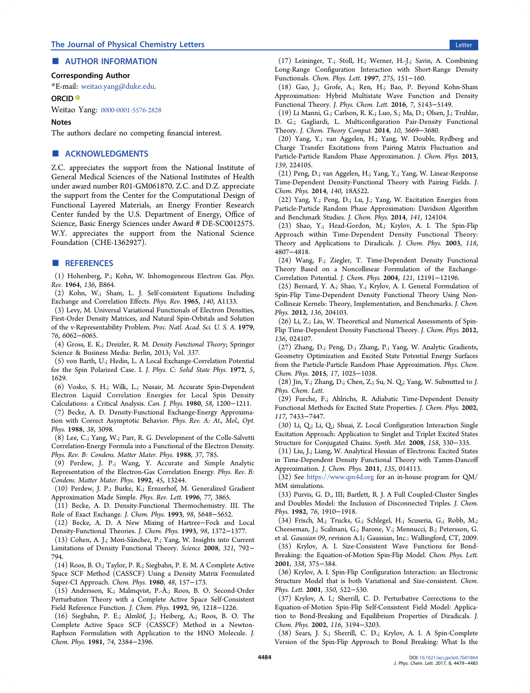# <span id="page-5-0"></span>■ AUTHOR INFORMATION

## Corresponding Author

\*E-mail: [weitao.yang@duke.edu](mailto:weitao.yang@duke.edu).

#### ORCID<sup>®</sup>

Weitao Yang: [0000-0001-5576-2828](http://orcid.org/0000-0001-5576-2828)

### Notes

The authors declare no competing financial interest.

# ■ ACKNOWLEDGMENTS

Z.C. appreciates the support from the National Institute of General Medical Sciences of the National Institutes of Health under award number R01-GM061870. Z.C. and D.Z. appreciate the support from the Center for the Computational Design of Functional Layered Materials, an Energy Frontier Research Center funded by the U.S. Department of Energy, Office of Science, Basic Energy Sciences under Award # DE-SC0012575. W.Y. appreciates the support from the National Science Foundation (CHE-1362927).

## ■ REFERENCES

(1) Hohenberg, P.; Kohn, W. Inhomogeneous Electron Gas. Phys. Rev. 1964, 136, B864.

(2) Kohn, W.; Sham, L. J. Self-consistent Equations Including Exchange and Correlation Effects. Phys. Rev. 1965, 140, A1133.

(3) Levy, M. Universal Variational Functionals of Electron Densities, First-Order Density Matrices, and Natural Spin-Orbitals and Solution of the v-Representability Problem. Proc. Natl. Acad. Sci. U. S. A. 1979, 76, 6062−6065.

(4) Gross, E. K.; Dreizler, R. M. Density Functional Theory; Springer Science & Business Media: Berlin, 2013; Vol. 337.

(5) von Barth, U.; Hedin, L. A Local Exchange-Correlation Potential for the Spin Polarized Case. I. J. Phys. C: Solid State Phys. 1972, 5, 1629.

(6) Vosko, S. H.; Wilk, L.; Nusair, M. Accurate Spin-Dependent Electron Liquid Correlation Energies for Local Spin Density Calculations: a Critical Analysis. Can. J. Phys. 1980, 58, 1200−1211.

(7) Becke, A. D. Density-Functional Exchange-Energy Approximation with Correct Asymptotic Behavior. Phys. Rev. A: At., Mol., Opt. Phys. 1988, 38, 3098.

(8) Lee, C.; Yang, W.; Parr, R. G. Development of the Colle-Salvetti Correlation-Energy Formula into a Functional of the Electron Density. Phys. Rev. B: Condens. Matter Mater. Phys. 1988, 37, 785.

(9) Perdew, J. P.; Wang, Y. Accurate and Simple Analytic Representation of the Electron-Gas Correlation Energy. Phys. Rev. B: Condens. Matter Mater. Phys. 1992, 45, 13244.

(10) Perdew, J. P.; Burke, K.; Ernzerhof, M. Generalized Gradient Approximation Made Simple. Phys. Rev. Lett. 1996, 77, 3865.

(11) Becke, A. D. Density-Functional Thermochemistry. III. The Role of Exact Exchange. J. Chem. Phys. 1993, 98, 5648−5652.

(12) Becke, A. D. A New Mixing of Hartree−Fock and Local Density-Functional Theories. J. Chem. Phys. 1993, 98, 1372−1377.

(13) Cohen, A. J.; Mori-Sánchez, P.; Yang, W. Insights into Current Limitations of Density Functional Theory. Science 2008, 321, 792− 794.

(14) Roos, B. O.; Taylor, P. R.; Siegbahn, P. E. M. A Complete Active Space SCF Method (CASSCF) Using a Density Matrix Formulated Super-CI Approach. Chem. Phys. 1980, 48, 157−173.

(15) Andersson, K.; Malmqvist, P.-Å.; Roos, B. O. Second-Order Perturbation Theory with a Complete Active Space Self-Consistent Field Reference Function. J. Chem. Phys. 1992, 96, 1218−1226.

(16) Siegbahn, P. E.; Almlöf, J.; Heiberg, A.; Roos, B. O. The Complete Active Space SCF (CASSCF) Method in a Newton-Raphson Formulation with Application to the HNO Molecule. J. Chem. Phys. 1981, 74, 2384−2396.

(17) Leininger, T.; Stoll, H.; Werner, H.-J.; Savin, A. Combining Long-Range Configuration Interaction with Short-Range Density Functionals. Chem. Phys. Lett. 1997, 275, 151−160.

(18) Gao, J.; Grofe, A.; Ren, H.; Bao, P. Beyond Kohn-Sham Approximation: Hybrid Multistate Wave Function and Density Functional Theory. J. Phys. Chem. Lett. 2016, 7, 5143−5149.

(19) Li Manni, G.; Carlson, R. K.; Luo, S.; Ma, D.; Olsen, J.; Truhlar, D. G.; Gagliardi, L. Multiconfiguration Pair-Density Functional Theory. J. Chem. Theory Comput. 2014, 10, 3669−3680.

(20) Yang, Y.; van Aggelen, H.; Yang, W. Double, Rydberg and Charge Transfer Excitations from Pairing Matrix Fluctuation and Particle-Particle Random Phase Approximation. J. Chem. Phys. 2013, 139, 224105.

(21) Peng, D.; van Aggelen, H.; Yang, Y.; Yang, W. Linear-Response Time-Dependent Density-Functional Theory with Pairing Fields. J. Chem. Phys. 2014, 140, 18A522.

(22) Yang, Y.; Peng, D.; Lu, J.; Yang, W. Excitation Energies from Particle-Particle Random Phase Approximation: Davidson Algorithm and Benchmark Studies. J. Chem. Phys. 2014, 141, 124104.

(23) Shao, Y.; Head-Gordon, M.; Krylov, A. I. The Spin-Flip Approach within Time-Dependent Density Functional Theory: Theory and Applications to Diradicals. J. Chem. Phys. 2003, 118, 4807−4818.

(24) Wang, F.; Ziegler, T. Time-Dependent Density Functional Theory Based on a Noncollinear Formulation of the Exchange-Correlation Potential. J. Chem. Phys. 2004, 121, 12191−12196.

(25) Bernard, Y. A.; Shao, Y.; Krylov, A. I. General Formulation of Spin-Flip Time-Dependent Density Functional Theory Using Non-Collinear Kernels: Theory, Implementation, and Benchmarks. J. Chem. Phys. 2012, 136, 204103.

(26) Li, Z.; Liu, W. Theoretical and Numerical Assessments of Spin-Flip Time-Dependent Density Functional Theory. J. Chem. Phys. 2012, 136, 024107.

(27) Zhang, D.; Peng, D.; Zhang, P.; Yang, W. Analytic Gradients, Geometry Optimization and Excited State Potential Energy Surfaces from the Particle-Particle Random Phase Approximation. Phys. Chem. Chem. Phys. 2015, 17, 1025−1038.

(28) Jin, Y.; Zhang, D.; Chen, Z.; Su, N. Q.; Yang, W. Submitted to J. Phys. Chem. Lett.

(29) Furche, F.; Ahlrichs, R. Adiabatic Time-Dependent Density Functional Methods for Excited State Properties. J. Chem. Phys. 2002, 117, 7433−7447.

(30) Li, Q.; Li, Q.; Shuai, Z. Local Configuration Interaction Single Excitation Approach: Application to Singlet and Triplet Excited States Structure for Conjugated Chains. Synth. Met. 2008, 158, 330−335.

(31) Liu, J.; Liang, W. Analytical Hessian of Electronic Excited States in Time-Dependent Density Functional Theory with Tamm-Dancoff Approximation. J. Chem. Phys. 2011, 135, 014113.

(32) See <https://www.qm4d.org> for an in-house program for QM/ MM simulations.

(33) Purvis, G. D., III; Bartlett, R. J. A Full Coupled-Cluster Singles and Doubles Model: the Inclusion of Disconnected Triples. J. Chem. Phys. 1982, 76, 1910−1918.

(34) Frisch, M.; Trucks, G.; Schlegel, H.; Scuseria, G.; Robb, M.; Cheeseman, J.; Scalmani, G.; Barone, V.; Mennucci, B.; Petersson, G. et al. Gaussian 09, revision A.1; Gaussian, Inc.: Wallingford, CT, 2009. (35) Krylov, A. I. Size-Consistent Wave Functions for Bond-Breaking: the Equation-of-Motion Spin-Flip Model. Chem. Phys. Lett. 2001, 338, 375−384.

(36) Krylov, A. I. Spin-Flip Configuration Interaction: an Electronic Structure Model that is both Variational and Size-consistent. Chem. Phys. Lett. 2001, 350, 522−530.

(37) Krylov, A. I.; Sherrill, C. D. Perturbative Corrections to the Equation-of-Motion Spin-Flip Self-Consistent Field Model: Application to Bond-Breaking and Equilibrium Properties of Diradicals. J. Chem. Phys. 2002, 116, 3194−3203.

(38) Sears, J. S.; Sherrill, C. D.; Krylov, A. I. A Spin-Complete Version of the Spin-Flip Approach to Bond Breaking: What Is the